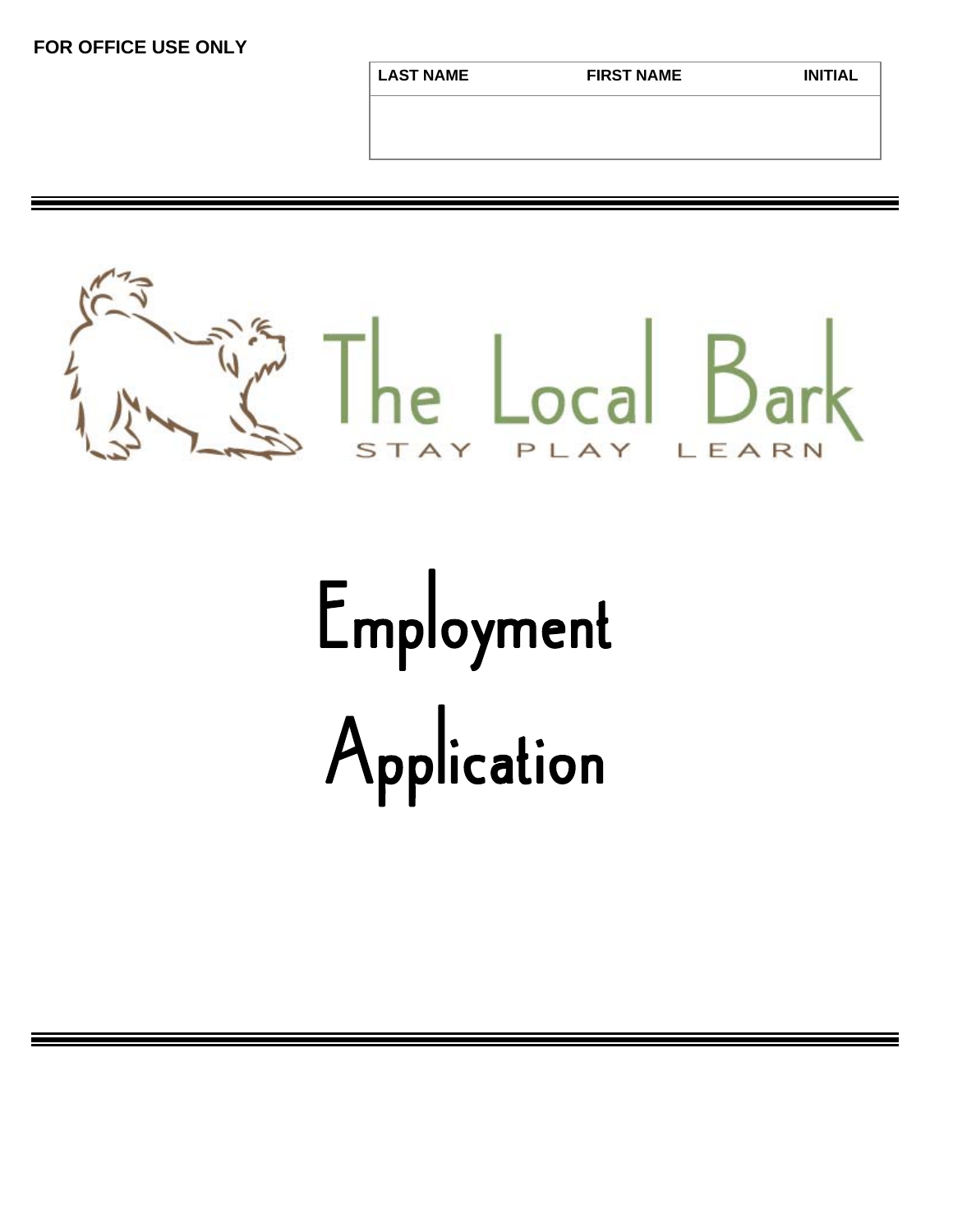**FOR OFFICE USE ONLY**

**LAST NAME FIRST NAME INITIAL** 



## Employment Application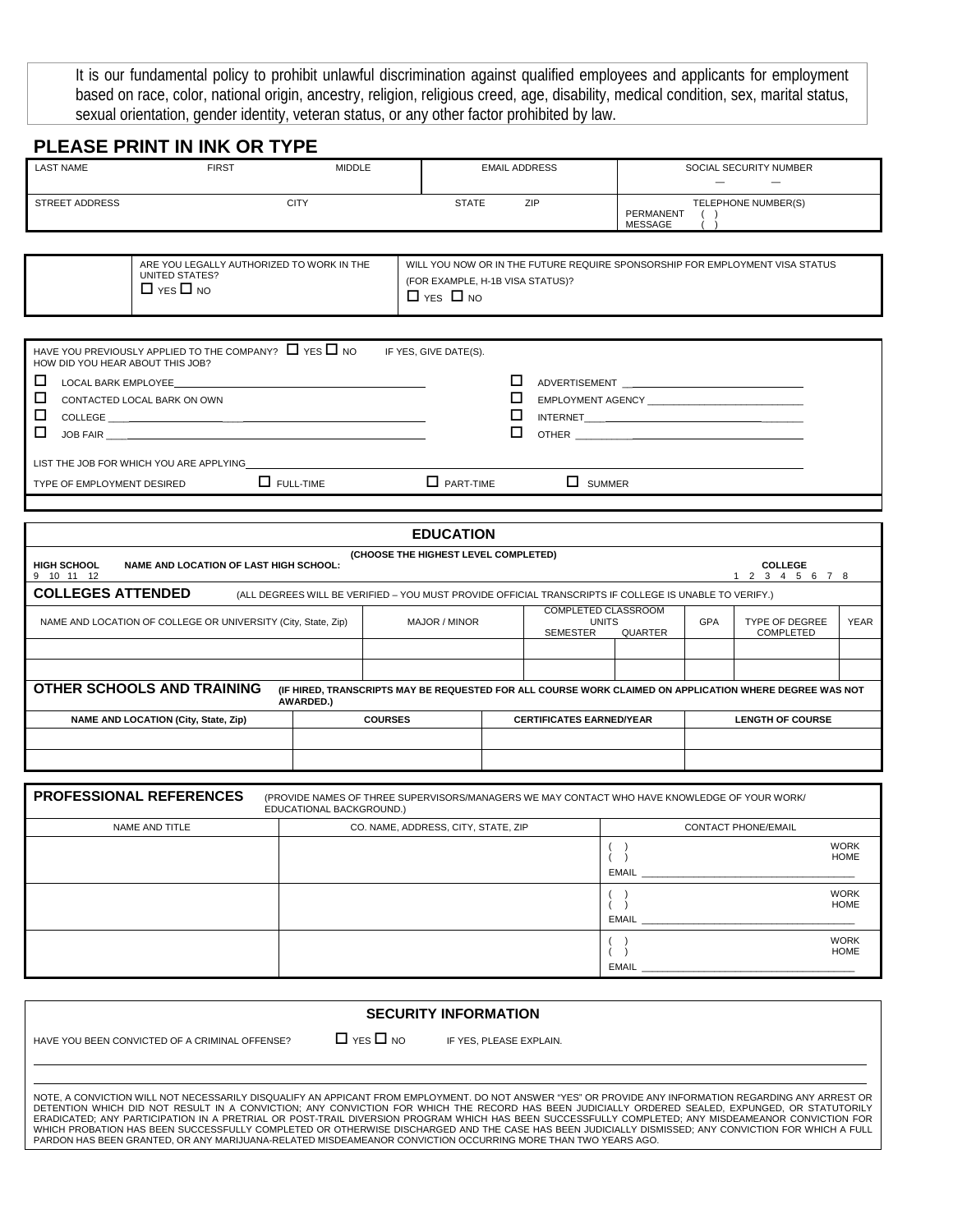It is our fundamental policy to prohibit unlawful discrimination against qualified employees and applicants for employment based on race, color, national origin, ancestry, religion, religious creed, age, disability, medical condition, sex, marital status, sexual orientation, gender identity, veteran status, or any other factor prohibited by law.

## **PLEASE PRINT IN INK OR TYPE**

| <b>LAST NAME</b>                                                                                                                                                                                                                         | <b>FIRST</b>                                                                        | <b>MIDDLE</b> |                                                                                                                                          | <b>EMAIL ADDRESS</b>               |     | SOCIAL SECURITY NUMBER                             |  |  |  |
|------------------------------------------------------------------------------------------------------------------------------------------------------------------------------------------------------------------------------------------|-------------------------------------------------------------------------------------|---------------|------------------------------------------------------------------------------------------------------------------------------------------|------------------------------------|-----|----------------------------------------------------|--|--|--|
| <b>STREET ADDRESS</b>                                                                                                                                                                                                                    |                                                                                     | <b>CITY</b>   | <b>STATE</b>                                                                                                                             |                                    | ZIP | TELEPHONE NUMBER(S)<br>PERMANENT<br><b>MESSAGE</b> |  |  |  |
|                                                                                                                                                                                                                                          | ARE YOU LEGALLY AUTHORIZED TO WORK IN THE<br>UNITED STATES?<br>$\Box$ YES $\Box$ NO |               | WILL YOU NOW OR IN THE FUTURE REQUIRE SPONSORSHIP FOR EMPLOYMENT VISA STATUS<br>(FOR EXAMPLE, H-1B VISA STATUS)?<br>$\Box$ YES $\Box$ NO |                                    |     |                                                    |  |  |  |
| HOW DID YOU HEAR ABOUT THIS JOB?                                                                                                                                                                                                         | HAVE YOU PREVIOUSLY APPLIED TO THE COMPANY? $\Box$ YES $\Box$ NO                    |               | IF YES, GIVE DATE(S).                                                                                                                    |                                    |     |                                                    |  |  |  |
| □<br>LOCAL BARK EMPLOYEE AND THE STATE OF THE STATE OF THE STATE OF THE STATE OF THE STATE OF THE STATE OF THE STATE OF THE STATE OF THE STATE OF THE STATE OF THE STATE OF THE STATE OF THE STATE OF THE STATE OF THE STATE OF THE<br>□ |                                                                                     |               |                                                                                                                                          | <b>ADVERTISEMENT</b> ADVERTISEMENT |     |                                                    |  |  |  |
| CONTACTED LOCAL BARK ON OWN<br>□                                                                                                                                                                                                         |                                                                                     |               |                                                                                                                                          |                                    |     | EMPLOYMENT AGENCY <b>EXAMPLOYMENT</b>              |  |  |  |
| □<br>JOB FAIR                                                                                                                                                                                                                            |                                                                                     |               | <b>OTHER</b>                                                                                                                             |                                    |     |                                                    |  |  |  |

LIST THE JOB FOR WHICH YOU ARE APPLYING

TYPE OF EMPLOYMENT DESIRED  $\Box$  FULL-TIME  $\Box$  PART-TIME  $\Box$  SUMMER

|                                                                                                                                                                          |  | <b>EDUCATION</b>                     |  |                                           |             |  |                                 |  |
|--------------------------------------------------------------------------------------------------------------------------------------------------------------------------|--|--------------------------------------|--|-------------------------------------------|-------------|--|---------------------------------|--|
| <b>HIGH SCHOOL</b><br><b>NAME AND LOCATION OF LAST HIGH SCHOOL:</b><br>10 11 12<br>9                                                                                     |  | (CHOOSE THE HIGHEST LEVEL COMPLETED) |  |                                           |             |  | <b>COLLEGE</b><br>2 3 4 5 6 7 8 |  |
| <b>COLLEGES ATTENDED</b><br>(ALL DEGREES WILL BE VERIFIED - YOU MUST PROVIDE OFFICIAL TRANSCRIPTS IF COLLEGE IS UNABLE TO VERIFY.)                                       |  |                                      |  |                                           |             |  |                                 |  |
| <b>COMPLETED CLASSROOM</b><br><b>GPA</b><br>NAME AND LOCATION OF COLLEGE OR UNIVERSITY (City, State, Zip)<br>MAJOR / MINOR<br><b>UNITS</b><br><b>SEMESTER</b><br>QUARTER |  |                                      |  | <b>TYPE OF DEGREE</b><br><b>COMPLETED</b> | <b>YEAR</b> |  |                                 |  |
|                                                                                                                                                                          |  |                                      |  |                                           |             |  |                                 |  |
|                                                                                                                                                                          |  |                                      |  |                                           |             |  |                                 |  |
| OTHER SCHOOLS AND TRAINING<br>(IF HIRED, TRANSCRIPTS MAY BE REQUESTED FOR ALL COURSE WORK CLAIMED ON APPLICATION WHERE DEGREE WAS NOT<br>AWARDED.)                       |  |                                      |  |                                           |             |  |                                 |  |
| NAME AND LOCATION (City, State, Zip)                                                                                                                                     |  | <b>COURSES</b>                       |  | <b>CERTIFICATES EARNED/YEAR</b>           |             |  | <b>LENGTH OF COURSE</b>         |  |
|                                                                                                                                                                          |  |                                      |  |                                           |             |  |                                 |  |
|                                                                                                                                                                          |  |                                      |  |                                           |             |  |                                 |  |

| <b>PROFESSIONAL REFERENCES</b> | (PROVIDE NAMES OF THREE SUPERVISORS/MANAGERS WE MAY CONTACT WHO HAVE KNOWLEDGE OF YOUR WORK/<br>EDUCATIONAL BACKGROUND.) |                                            |  |  |  |
|--------------------------------|--------------------------------------------------------------------------------------------------------------------------|--------------------------------------------|--|--|--|
| NAME AND TITLE                 | CO. NAME, ADDRESS, CITY, STATE, ZIP                                                                                      | <b>CONTACT PHONE/EMAIL</b>                 |  |  |  |
|                                |                                                                                                                          | <b>WORK</b><br><b>HOME</b><br><b>EMAIL</b> |  |  |  |
|                                |                                                                                                                          | <b>WORK</b><br><b>HOME</b><br><b>EMAIL</b> |  |  |  |
|                                |                                                                                                                          | <b>WORK</b><br><b>HOME</b><br><b>EMAIL</b> |  |  |  |

| <b>SECURITY INFORMATION</b>                                                                                  |  |                                                                                                                                                                                                                                                                                                                                                                                                                                                                                                                                                                                                                         |  |  |  |  |  |
|--------------------------------------------------------------------------------------------------------------|--|-------------------------------------------------------------------------------------------------------------------------------------------------------------------------------------------------------------------------------------------------------------------------------------------------------------------------------------------------------------------------------------------------------------------------------------------------------------------------------------------------------------------------------------------------------------------------------------------------------------------------|--|--|--|--|--|
| $\Box$ YES $\Box$ NO<br>HAVE YOU BEEN CONVICTED OF A CRIMINAL OFFENSE?<br>IF YES. PLEASE EXPLAIN.            |  |                                                                                                                                                                                                                                                                                                                                                                                                                                                                                                                                                                                                                         |  |  |  |  |  |
| PARDON HAS BEEN GRANTED. OR ANY MARIJUANA-RELATED MISDEAMEANOR CONVICTION OCCURRING MORE THAN TWO YEARS AGO. |  | NOTE, A CONVICTION WILL NOT NECESSARILY DISQUALIFY AN APPICANT FROM EMPLOYMENT. DO NOT ANSWER "YES" OR PROVIDE ANY INFORMATION REGARDING ANY ARREST OR<br>DETENTION WHICH DID NOT RESULT IN A CONVICTION; ANY CONVICTION FOR WHICH THE RECORD HAS BEEN JUDICIALLY ORDERED SEALED, EXPUNGED, OR STATUTORILY<br>ERADICATED: ANY PARTICIPATION IN A PRETRIAL OR POST-TRAIL DIVERSION PROGRAM WHICH HAS BEEN SUCCESSFULLY COMPLETED: ANY MISDEAMEANOR CONVICTION FOR<br>WHICH PROBATION HAS BEEN SUCCESSFULLY COMPLETED OR OTHERWISE DISCHARGED AND THE CASE HAS BEEN JUDICIALLY DISMISSED; ANY CONVICTION FOR WHICH A FULL |  |  |  |  |  |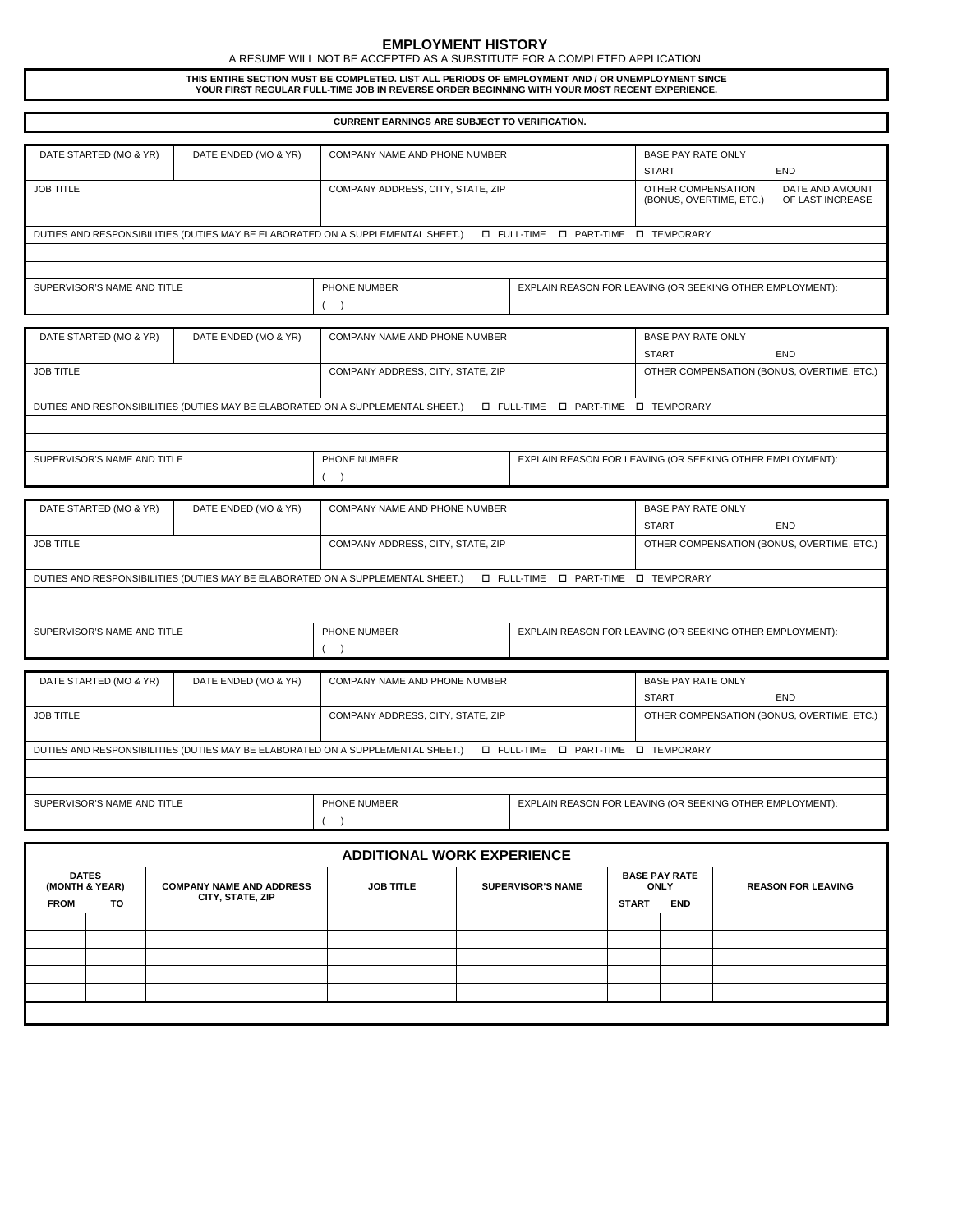## **EMPLOYMENT HISTORY**

A RESUME WILL NOT BE ACCEPTED AS A SUBSTITUTE FOR A COMPLETED APPLICATION

**THIS ENTIRE SECTION MUST BE COMPLETED. LIST ALL PERIODS OF EMPLOYMENT AND / OR UNEMPLOYMENT SINCE YOUR FIRST REGULAR FULL-TIME JOB IN REVERSE ORDER BEGINNING WITH YOUR MOST RECENT EXPERIENCE.** 

| <b>CURRENT EARNINGS ARE SUBJECT TO VERIFICATION.</b> |                      |                                                                                 |                                                      |                                                           |                                                           |  |  |
|------------------------------------------------------|----------------------|---------------------------------------------------------------------------------|------------------------------------------------------|-----------------------------------------------------------|-----------------------------------------------------------|--|--|
|                                                      |                      |                                                                                 |                                                      |                                                           |                                                           |  |  |
| DATE STARTED (MO & YR)                               | DATE ENDED (MO & YR) | COMPANY NAME AND PHONE NUMBER                                                   | <b>BASE PAY RATE ONLY</b>                            |                                                           |                                                           |  |  |
|                                                      |                      |                                                                                 |                                                      | <b>START</b>                                              | <b>END</b>                                                |  |  |
| <b>JOB TITLE</b>                                     |                      | COMPANY ADDRESS, CITY, STATE, ZIP                                               |                                                      | OTHER COMPENSATION                                        | DATE AND AMOUNT                                           |  |  |
|                                                      |                      |                                                                                 |                                                      | (BONUS, OVERTIME, ETC.)                                   | OF LAST INCREASE                                          |  |  |
|                                                      |                      |                                                                                 |                                                      |                                                           |                                                           |  |  |
|                                                      |                      | DUTIES AND RESPONSIBILITIES (DUTIES MAY BE ELABORATED ON A SUPPLEMENTAL SHEET.) | <b>I PART-TIME I TEMPORARY</b><br><b>D</b> FULL-TIME |                                                           |                                                           |  |  |
|                                                      |                      |                                                                                 |                                                      |                                                           |                                                           |  |  |
|                                                      |                      |                                                                                 |                                                      |                                                           |                                                           |  |  |
|                                                      |                      |                                                                                 |                                                      |                                                           |                                                           |  |  |
| SUPERVISOR'S NAME AND TITLE                          |                      | PHONE NUMBER                                                                    |                                                      |                                                           | EXPLAIN REASON FOR LEAVING (OR SEEKING OTHER EMPLOYMENT): |  |  |
|                                                      |                      | $\rightarrow$                                                                   |                                                      |                                                           |                                                           |  |  |
|                                                      |                      |                                                                                 |                                                      |                                                           |                                                           |  |  |
| DATE STARTED (MO & YR)                               | DATE ENDED (MO & YR) | COMPANY NAME AND PHONE NUMBER                                                   |                                                      | <b>BASE PAY RATE ONLY</b>                                 |                                                           |  |  |
|                                                      |                      |                                                                                 |                                                      | <b>START</b>                                              | <b>END</b>                                                |  |  |
| <b>JOB TITLE</b>                                     |                      | COMPANY ADDRESS, CITY, STATE, ZIP                                               |                                                      | OTHER COMPENSATION (BONUS, OVERTIME, ETC.)                |                                                           |  |  |
|                                                      |                      |                                                                                 |                                                      |                                                           |                                                           |  |  |
|                                                      |                      | DUTIES AND RESPONSIBILITIES (DUTIES MAY BE ELABORATED ON A SUPPLEMENTAL SHEET.) | <b>D</b> FULL-TIME<br><b>D</b> PART-TIME             | <b>I TEMPORARY</b>                                        |                                                           |  |  |
|                                                      |                      |                                                                                 |                                                      |                                                           |                                                           |  |  |
|                                                      |                      |                                                                                 |                                                      |                                                           |                                                           |  |  |
|                                                      |                      |                                                                                 |                                                      |                                                           |                                                           |  |  |
| SUPERVISOR'S NAME AND TITLE                          |                      | PHONE NUMBER                                                                    |                                                      | EXPLAIN REASON FOR LEAVING (OR SEEKING OTHER EMPLOYMENT): |                                                           |  |  |
|                                                      |                      | (                                                                               |                                                      |                                                           |                                                           |  |  |
|                                                      |                      |                                                                                 |                                                      |                                                           |                                                           |  |  |
| DATE STARTED (MO & YR)                               | DATE ENDED (MO & YR) | COMPANY NAME AND PHONE NUMBER                                                   |                                                      | <b>BASE PAY RATE ONLY</b>                                 |                                                           |  |  |
|                                                      |                      |                                                                                 |                                                      | <b>START</b>                                              | <b>END</b>                                                |  |  |
| <b>JOB TITLE</b>                                     |                      | COMPANY ADDRESS, CITY, STATE, ZIP                                               |                                                      | OTHER COMPENSATION (BONUS, OVERTIME, ETC.)                |                                                           |  |  |
|                                                      |                      |                                                                                 |                                                      |                                                           |                                                           |  |  |
|                                                      |                      |                                                                                 |                                                      |                                                           |                                                           |  |  |
|                                                      |                      | DUTIES AND RESPONSIBILITIES (DUTIES MAY BE ELABORATED ON A SUPPLEMENTAL SHEET.) | <b>D</b> FULL-TIME<br><b>D</b> PART-TIME             | <b>I TEMPORARY</b>                                        |                                                           |  |  |
|                                                      |                      |                                                                                 |                                                      |                                                           |                                                           |  |  |
|                                                      |                      |                                                                                 |                                                      |                                                           |                                                           |  |  |
| SUPERVISOR'S NAME AND TITLE                          |                      | PHONE NUMBER                                                                    |                                                      | EXPLAIN REASON FOR LEAVING (OR SEEKING OTHER EMPLOYMENT): |                                                           |  |  |
|                                                      |                      | $($ )                                                                           |                                                      |                                                           |                                                           |  |  |
|                                                      |                      |                                                                                 |                                                      |                                                           |                                                           |  |  |
| DATE STARTED (MO & YR)                               | DATE ENDED (MO & YR) | COMPANY NAME AND PHONE NUMBER                                                   |                                                      | <b>BASE PAY RATE ONLY</b>                                 |                                                           |  |  |
|                                                      |                      |                                                                                 |                                                      | <b>START</b>                                              | <b>END</b>                                                |  |  |
|                                                      |                      |                                                                                 |                                                      |                                                           |                                                           |  |  |
| <b>JOB TITLE</b>                                     |                      | COMPANY ADDRESS, CITY, STATE, ZIP                                               |                                                      | OTHER COMPENSATION (BONUS, OVERTIME, ETC.)                |                                                           |  |  |
|                                                      |                      |                                                                                 |                                                      |                                                           |                                                           |  |  |
|                                                      |                      | DUTIES AND RESPONSIBILITIES (DUTIES MAY BE ELABORATED ON A SUPPLEMENTAL SHEET.) | <b>D</b> FULL-TIME                                   | <b>I PART-TIME I TEMPORARY</b>                            |                                                           |  |  |
|                                                      |                      |                                                                                 |                                                      |                                                           |                                                           |  |  |
|                                                      |                      |                                                                                 |                                                      |                                                           |                                                           |  |  |
| SUPERVISOR'S NAME AND TITLE                          |                      | PHONE NUMBER                                                                    |                                                      | EXPLAIN REASON FOR LEAVING (OR SEEKING OTHER EMPLOYMENT): |                                                           |  |  |
|                                                      |                      | $($ )                                                                           |                                                      |                                                           |                                                           |  |  |
|                                                      |                      |                                                                                 |                                                      |                                                           |                                                           |  |  |
|                                                      |                      |                                                                                 |                                                      |                                                           |                                                           |  |  |
|                                                      |                      | <b>ADDITIONAL WORK EXPERIENCE</b>                                               |                                                      |                                                           |                                                           |  |  |

| <b>FROM</b> | <b>DATES</b><br>(MONTH & YEAR)<br>TO | <b>COMPANY NAME AND ADDRESS</b><br>CITY, STATE, ZIP | <b>JOB TITLE</b> | <b>SUPERVISOR'S NAME</b> | <b>BASE PAY RATE</b><br>ONLY<br><b>END</b><br><b>START</b> |  | <b>REASON FOR LEAVING</b> |  |  |
|-------------|--------------------------------------|-----------------------------------------------------|------------------|--------------------------|------------------------------------------------------------|--|---------------------------|--|--|
|             |                                      |                                                     |                  |                          |                                                            |  |                           |  |  |
|             |                                      |                                                     |                  |                          |                                                            |  |                           |  |  |
|             |                                      |                                                     |                  |                          |                                                            |  |                           |  |  |
|             |                                      |                                                     |                  |                          |                                                            |  |                           |  |  |
|             |                                      |                                                     |                  |                          |                                                            |  |                           |  |  |
|             |                                      |                                                     |                  |                          |                                                            |  |                           |  |  |